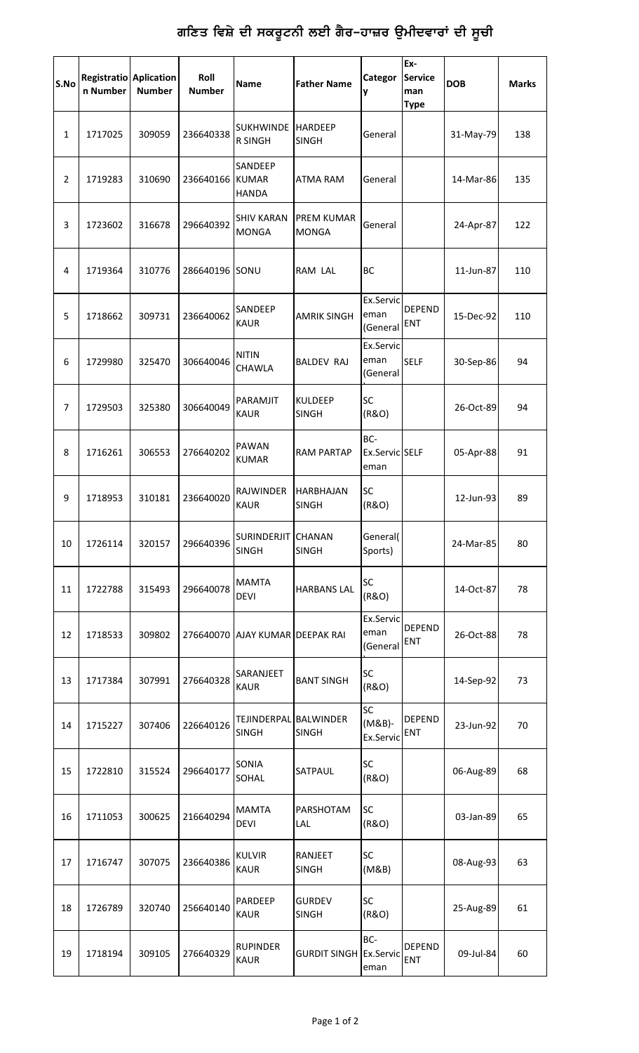## ਗਣਿਤ ਵਿਸ਼ੇ ਦੀ ਸਕਰੂਟਨੀ ਲਈ ਗੈਰ**-ਹਾਜ਼ਰ ਉਮੀਦਵਾਰਾਂ ਦੀ** ਸੂਚੀ

| S.No           | <b>Registratio Aplication</b><br>n Number | <b>Number</b> | Roll<br><b>Number</b> | Name                                    | <b>Father Name</b>                | Categor<br>y                  | Ex-<br><b>Service</b><br>man<br><b>Type</b> | <b>DOB</b> | <b>Marks</b> |
|----------------|-------------------------------------------|---------------|-----------------------|-----------------------------------------|-----------------------------------|-------------------------------|---------------------------------------------|------------|--------------|
| $\mathbf{1}$   | 1717025                                   | 309059        | 236640338             | <b>SUKHWINDE</b><br><b>R SINGH</b>      | <b>HARDEEP</b><br><b>SINGH</b>    | General                       |                                             | 31-May-79  | 138          |
| $\overline{2}$ | 1719283                                   | 310690        | 236640166             | SANDEEP<br><b>KUMAR</b><br><b>HANDA</b> | <b>ATMA RAM</b>                   | General                       |                                             | 14-Mar-86  | 135          |
| 3              | 1723602                                   | 316678        | 296640392             | SHIV KARAN<br><b>MONGA</b>              | <b>PREM KUMAR</b><br><b>MONGA</b> | General                       |                                             | 24-Apr-87  | 122          |
| 4              | 1719364                                   | 310776        | 286640196             | SONU                                    | RAM LAL                           | <b>BC</b>                     |                                             | 11-Jun-87  | 110          |
| 5              | 1718662                                   | 309731        | 236640062             | <b>SANDEEP</b><br><b>KAUR</b>           | <b>AMRIK SINGH</b>                | Ex.Servic<br>eman<br>(General | <b>DEPEND</b><br><b>ENT</b>                 | 15-Dec-92  | 110          |
| 6              | 1729980                                   | 325470        | 306640046             | <b>NITIN</b><br>CHAWLA                  | <b>BALDEV RAJ</b>                 | Ex.Servic<br>eman<br>(General | <b>SELF</b>                                 | 30-Sep-86  | 94           |
| $\overline{7}$ | 1729503                                   | 325380        | 306640049             | PARAMJIT<br><b>KAUR</b>                 | <b>KULDEEP</b><br><b>SINGH</b>    | SC<br>(R&O)                   |                                             | 26-Oct-89  | 94           |
| 8              | 1716261                                   | 306553        | 276640202             | PAWAN<br><b>KUMAR</b>                   | <b>RAM PARTAP</b>                 | BC-<br>Ex.Servic SELF<br>eman |                                             | 05-Apr-88  | 91           |
| 9              | 1718953                                   | 310181        | 236640020             | <b>RAJWINDER</b><br><b>KAUR</b>         | HARBHAJAN<br><b>SINGH</b>         | <b>SC</b><br>(R&O)            |                                             | 12-Jun-93  | 89           |
| 10             | 1726114                                   | 320157        | 296640396             | <b>SURINDERJIT</b><br><b>SINGH</b>      | CHANAN<br><b>SINGH</b>            | General(<br>Sports)           |                                             | 24-Mar-85  | 80           |
| 11             | 1722788                                   | 315493        | 296640078             | <b>MAMTA</b><br>DEVI                    | <b>HARBANS LAL</b>                | SC<br>(R&O)                   |                                             | 14-Oct-87  | 78           |
| 12             | 1718533                                   | 309802        | 276640070             | AJAY KUMAR DEEPAK RAI                   |                                   | Ex.Servic<br>eman<br>(General | <b>DEPEND</b><br>ENT                        | 26-Oct-88  | 78           |
| 13             | 1717384                                   | 307991        | 276640328             | SARANJEET<br><b>KAUR</b>                | <b>BANT SINGH</b>                 | SC<br>(R&O)                   |                                             | 14-Sep-92  | 73           |
| 14             | 1715227                                   | 307406        | 226640126             | <b>TEJINDERPAL</b><br>SINGH             | <b>BALWINDER</b><br><b>SINGH</b>  | SC<br>$(M&B)$ -<br>Ex.Servic  | <b>DEPEND</b><br>ENT                        | 23-Jun-92  | 70           |
| 15             | 1722810                                   | 315524        | 296640177             | SONIA<br>SOHAL                          | SATPAUL                           | SC<br>(R&O)                   |                                             | 06-Aug-89  | 68           |
| 16             | 1711053                                   | 300625        | 216640294             | <b>MAMTA</b><br><b>DEVI</b>             | PARSHOTAM<br>LAL.                 | SC<br>(R&O)                   |                                             | 03-Jan-89  | 65           |
| 17             | 1716747                                   | 307075        | 236640386             | <b>KULVIR</b><br><b>KAUR</b>            | RANJEET<br><b>SINGH</b>           | SC<br>(M&B)                   |                                             | 08-Aug-93  | 63           |
| 18             | 1726789                                   | 320740        | 256640140             | PARDEEP<br><b>KAUR</b>                  | <b>GURDEV</b><br><b>SINGH</b>     | SC<br>(R&O)                   |                                             | 25-Aug-89  | 61           |
| 19             | 1718194                                   | 309105        | 276640329             | <b>RUPINDER</b><br><b>KAUR</b>          | <b>GURDIT SINGH Ex.Servic</b>     | BC-<br>eman                   | <b>DEPEND</b><br>ENT                        | 09-Jul-84  | 60           |